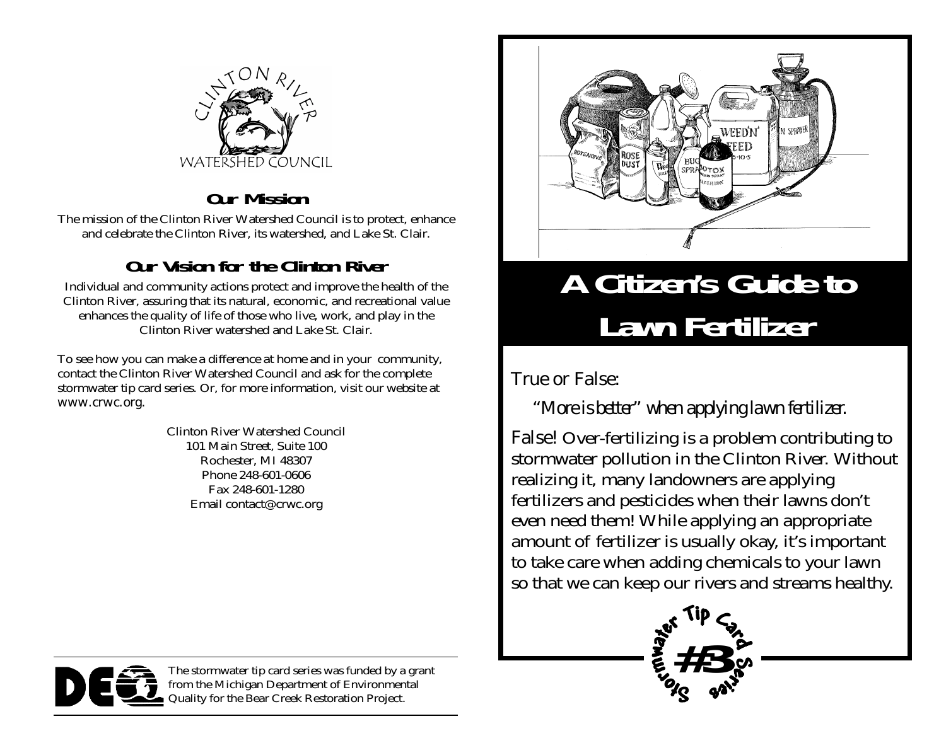

#### **Our Mission**

The mission of the Clinton River Watershed Council is to protect, enhance and celebrate the Clinton River, its watershed, and Lake St. Clair.

#### **Our Vision for the Clinton River**

Individual and community actions protect and improve the health of the Clinton River, assuring that its natural, economic, and recreational value enhances the quality of life of those who live, work, and play in the Clinton River watershed and Lake St. Clair.

To see how you can make a difference at home and in your community, contact the Clinton River Watershed Council and ask for the complete stormwater tip card series. Or, for more information, visit our website at www.crwc.org.

> Clinton River Watershed Council 101 Main Street, Suite 100 Rochester, MI 48307 Phone 248-601-0606 Fax 248-601-1280 Email contact@crwc.org



### **A Citizen's Guide to Lawn Fertilizer**

#### True or False:

#### *"More is better" when applying lawn fertilizer.*

False! Over-fertilizing is a problem contributing to stormwater pollution in the Clinton River. Without realizing it, many landowners are applying fertilizers and pesticides when their lawns don't even need them! While applying an appropriate amount of fertilizer is usually okay, it's important to take care when adding chemicals to your lawn so that we can keep our rivers and streams healthy.





The stormwater tip card series was funded by a grant from the Michigan Department of Environmental Quality for the Bear Creek Restoration Project.